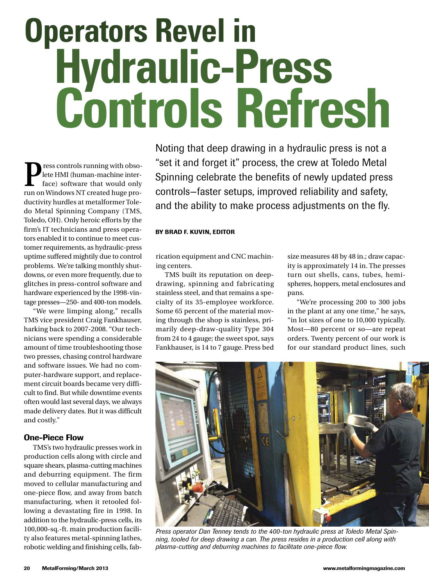# **Operators Revel in Hydraulic-Press Controls Refresh**

**P**ress controls running with obso-<br>lete HMI (human-machine inter-<br>face) software that would only<br>run on Windows NT created bugo pro lete HMI (human-machine interface) software that would only run onWindows NT created huge productivity hurdles at metalformer Toledo Metal Spinning Company (TMS, Toledo, OH). Only heroic efforts by the firm's IT technicians and press operators enabled it to continue to meet customer requirements, as hydraulic-press uptime suffered mightily due to control problems. We're talking monthly shutdowns, or even more frequently, due to glitches in press-control software and hardware experienced by the 1998-vintage presses—250- and 400-ton models.

"We were limping along," recalls TMS vice president Craig Fankhauser, harking back to 2007-2008. "Our technicians were spending a considerable amount of time troubleshooting those two presses, chasing control hardware and software issues. We had no computer-hardware support, and replacement circuit boards became very difficult to find. But while downtime events often would last several days, we always made delivery dates. But it was difficult and costly."

# **One-Piece Flow**

TMS's two hydraulic presses work in production cells along with circle and square shears, plasma-cutting machines and deburring equipment. The firm moved to cellular manufacturing and one-piece flow, and away from batch manufacturing, when it retooled following a devastating fire in 1998. In addition to the hydraulic-press cells, its 100,000-sq.-ft. main production facility also features metal-spinning lathes, robotic welding and finishing cells, fabNoting that deep drawing in a hydraulic press is not a "set it and forget it" process, the crew at Toledo Metal Spinning celebrate the benefits of newly updated press controls—faster setups, improved reliability and safety, and the ability to make process adjustments on the fly.

### **BY BRAD F. KUVIN, EDITOR**

rication equipment and CNC machining centers.

TMS built its reputation on deepdrawing, spinning and fabricating stainless steel, and that remains a specialty of its 35-employee workforce. Some 65 percent of the material moving through the shop is stainless, primarily deep-draw-quality Type 304 from 24 to 4 gauge; the sweet spot, says Fankhauser, is 14 to 7 gauge. Press bed

size measures 48 by 48 in.; draw capacity is approximately 14 in. The presses turn out shells, cans, tubes, hemispheres, hoppers, metal enclosures and pans.

"We're processing 200 to 300 jobs in the plant at any one time," he says, "in lot sizes of one to 10,000 typically. Most—80 percent or so—are repeat orders. Twenty percent of our work is for our standard product lines, such



*Press operator Dan Tenney tends to the 400-ton hydraulic press at Toledo Metal Spinning, tooled for deep drawing a can. The press resides in a production cell along with plasma-cutting and deburring machines to facilitate one-piece flow.*